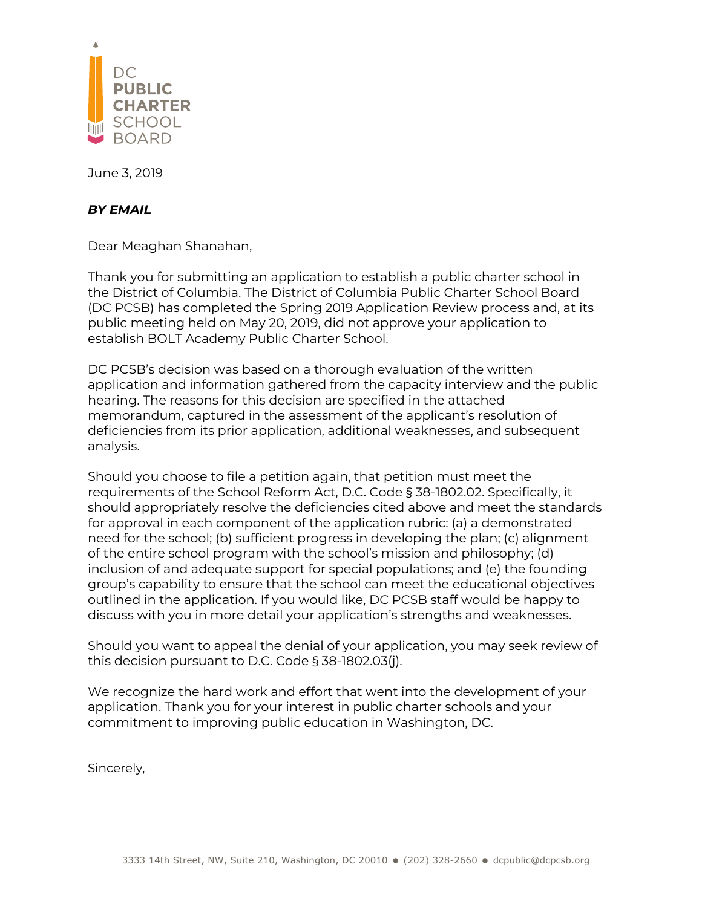

June 3, 2019

#### *BY EMAIL*

Dear Meaghan Shanahan,

Thank you for submitting an application to establish a public charter school in the District of Columbia. The District of Columbia Public Charter School Board (DC PCSB) has completed the Spring 2019 Application Review process and, at its public meeting held on May 20, 2019, did not approve your application to establish BOLT Academy Public Charter School.

DC PCSB's decision was based on a thorough evaluation of the written application and information gathered from the capacity interview and the public hearing. The reasons for this decision are specified in the attached memorandum, captured in the assessment of the applicant's resolution of deficiencies from its prior application, additional weaknesses, and subsequent analysis.

Should you choose to file a petition again, that petition must meet the requirements of the School Reform Act, D.C. Code § 38-1802.02. Specifically, it should appropriately resolve the deficiencies cited above and meet the standards for approval in each component of the application rubric: (a) a demonstrated need for the school; (b) sufficient progress in developing the plan; (c) alignment of the entire school program with the school's mission and philosophy; (d) inclusion of and adequate support for special populations; and (e) the founding group's capability to ensure that the school can meet the educational objectives outlined in the application. If you would like, DC PCSB staff would be happy to discuss with you in more detail your application's strengths and weaknesses.

Should you want to appeal the denial of your application, you may seek review of this decision pursuant to D.C. Code § 38-1802.03(j).

We recognize the hard work and effort that went into the development of your application. Thank you for your interest in public charter schools and your commitment to improving public education in Washington, DC.

Sincerely,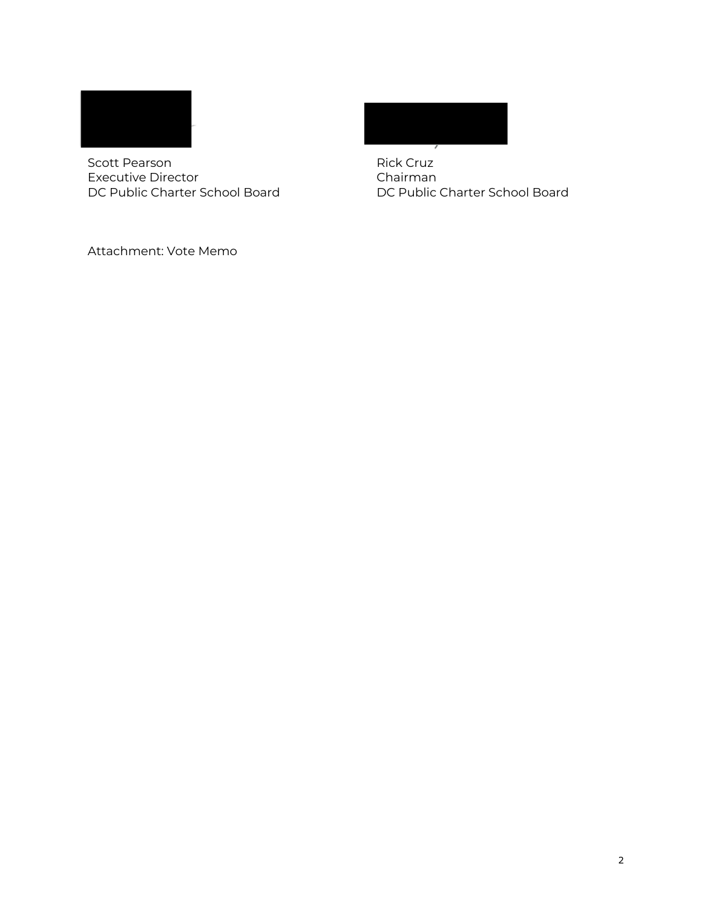

Scott Pearson **Rick Cruz** Executive Director<br>
DC Public Charter School Board<br>
DC Public Charter School Doard<br>
DC Public Charter School Board DC Public Charter School Board



Attachment: Vote Memo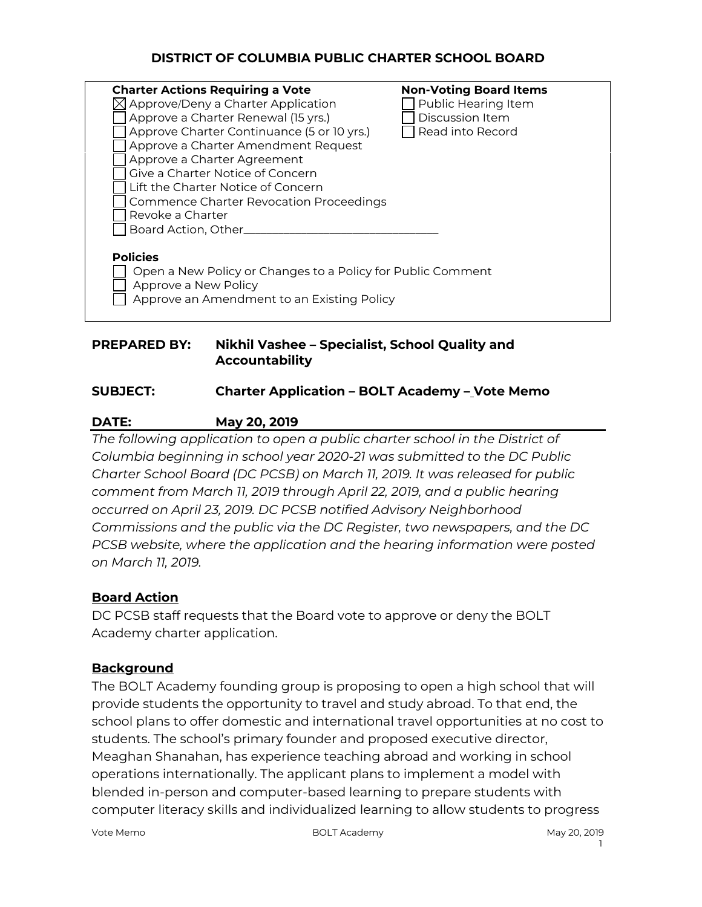## **DISTRICT OF COLUMBIA PUBLIC CHARTER SCHOOL BOARD**

| <b>Charter Actions Requiring a Vote</b><br>$\boxtimes$ Approve/Deny a Charter Application<br>Approve a Charter Renewal (15 yrs.)<br>Approve Charter Continuance (5 or 10 yrs.)<br>Approve a Charter Amendment Request<br>Approve a Charter Agreement<br>Give a Charter Notice of Concern<br>Lift the Charter Notice of Concern<br>Commence Charter Revocation Proceedings<br>Revoke a Charter | <b>Non-Voting Board Items</b><br>Public Hearing Item<br>Discussion Item<br>Read into Record |
|-----------------------------------------------------------------------------------------------------------------------------------------------------------------------------------------------------------------------------------------------------------------------------------------------------------------------------------------------------------------------------------------------|---------------------------------------------------------------------------------------------|
| Board Action, Other_<br><b>Policies</b><br>Open a New Policy or Changes to a Policy for Public Comment<br>Approve a New Policy<br>Approve an Amendment to an Existing Policy                                                                                                                                                                                                                  |                                                                                             |

#### **PREPARED BY: Nikhil Vashee – Specialist, School Quality and Accountability**

#### **SUBJECT: Charter Application – BOLT Academy – Vote Memo**

## **DATE: May 20, 2019**

*The following application to open a public charter school in the District of Columbia beginning in school year 2020-21 was submitted to the DC Public Charter School Board (DC PCSB) on March 11, 2019. It was released for public comment from March 11, 2019 through April 22, 2019, and a public hearing occurred on April 23, 2019. DC PCSB notified Advisory Neighborhood Commissions and the public via the DC Register, two newspapers, and the DC PCSB website, where the application and the hearing information were posted on March 11, 2019.*

## **Board Action**

DC PCSB staff requests that the Board vote to approve or deny the BOLT Academy charter application.

## **Background**

The BOLT Academy founding group is proposing to open a high school that will provide students the opportunity to travel and study abroad. To that end, the school plans to offer domestic and international travel opportunities at no cost to students. The school's primary founder and proposed executive director, Meaghan Shanahan, has experience teaching abroad and working in school operations internationally. The applicant plans to implement a model with blended in-person and computer-based learning to prepare students with computer literacy skills and individualized learning to allow students to progress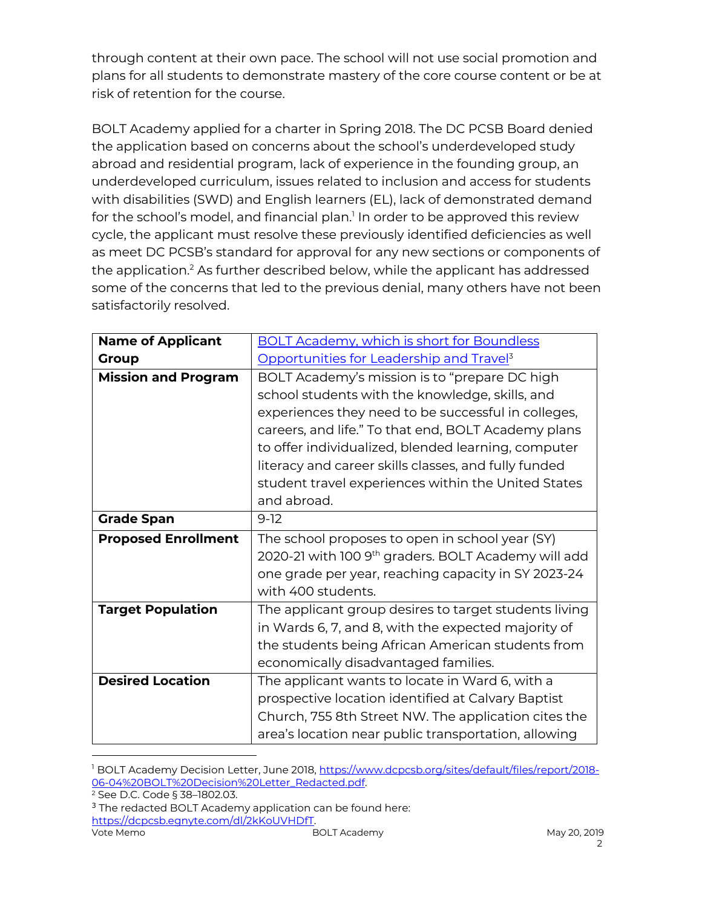through content at their own pace. The school will not use social promotion and plans for all students to demonstrate mastery of the core course content or be at risk of retention for the course.

BOLT Academy applied for a charter in Spring 2018. The DC PCSB Board denied the application based on concerns about the school's underdeveloped study abroad and residential program, lack of experience in the founding group, an underdeveloped curriculum, issues related to inclusion and access for students with disabilities (SWD) and English learners (EL), lack of demonstrated demand for the school's model, and financial plan.<sup>1</sup> In order to be approved this review cycle, the applicant must resolve these previously identified deficiencies as well as meet DC PCSB's standard for approval for any new sections or components of the application.<sup>2</sup> As further described below, while the applicant has addressed some of the concerns that led to the previous denial, many others have not been satisfactorily resolved.

| <b>Name of Applicant</b>   | <b>BOLT Academy, which is short for Boundless</b>               |  |
|----------------------------|-----------------------------------------------------------------|--|
| <b>Group</b>               | Opportunities for Leadership and Travel <sup>3</sup>            |  |
| <b>Mission and Program</b> | BOLT Academy's mission is to "prepare DC high                   |  |
|                            | school students with the knowledge, skills, and                 |  |
|                            | experiences they need to be successful in colleges,             |  |
|                            | careers, and life." To that end, BOLT Academy plans             |  |
|                            | to offer individualized, blended learning, computer             |  |
|                            | literacy and career skills classes, and fully funded            |  |
|                            | student travel experiences within the United States             |  |
|                            | and abroad.                                                     |  |
| <b>Grade Span</b>          | $9-12$                                                          |  |
| <b>Proposed Enrollment</b> | The school proposes to open in school year (SY)                 |  |
|                            | 2020-21 with 100 9 <sup>th</sup> graders. BOLT Academy will add |  |
|                            | one grade per year, reaching capacity in SY 2023-24             |  |
|                            | with 400 students.                                              |  |
| <b>Target Population</b>   | The applicant group desires to target students living           |  |
|                            | in Wards 6, 7, and 8, with the expected majority of             |  |
|                            | the students being African American students from               |  |
|                            | economically disadvantaged families.                            |  |
| <b>Desired Location</b>    | The applicant wants to locate in Ward 6, with a                 |  |
|                            | prospective location identified at Calvary Baptist              |  |
|                            | Church, 755 8th Street NW. The application cites the            |  |
|                            | area's location near public transportation, allowing            |  |

<sup>1</sup> BOLT Academy Decision Letter, June 2018, https://www.dcpcsb.org/sites/default/files/report/2018-06-04%20BOLT%20Decision%20Letter\_Redacted.pdf.<br><sup>2</sup> See D.C. Code § 38–1802.03.

Vote Memo **BOLT Academy** BOLT Academy May 20, 2019 <sup>3</sup> The redacted BOLT Academy application can be found here: https://dcpcsb.egnyte.com/dl/2kKoUVHDfT.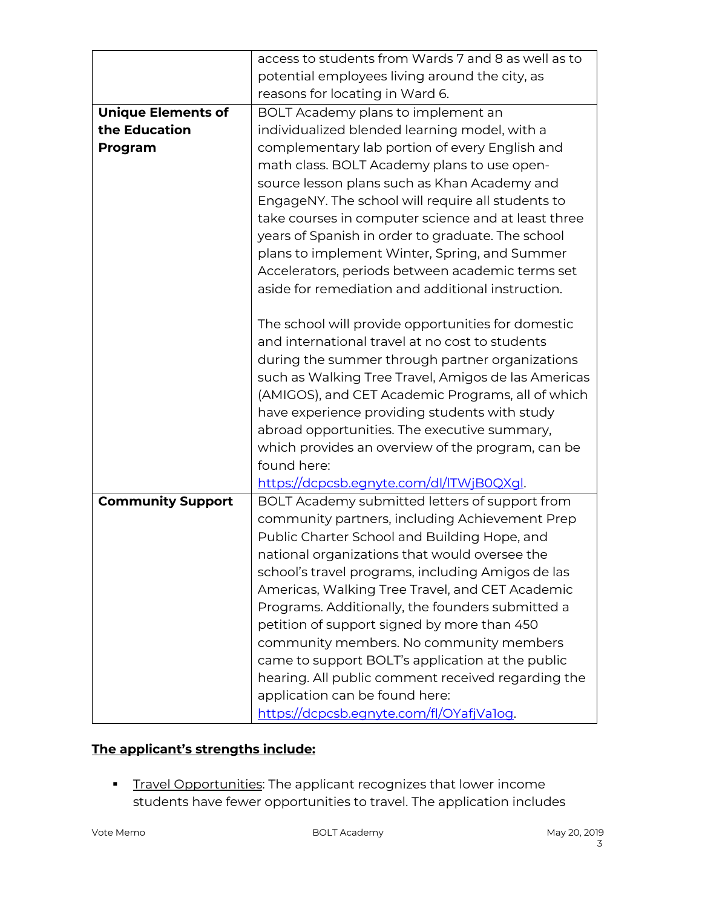|                           | access to students from Wards 7 and 8 as well as to |  |  |
|---------------------------|-----------------------------------------------------|--|--|
|                           | potential employees living around the city, as      |  |  |
|                           | reasons for locating in Ward 6.                     |  |  |
| <b>Unique Elements of</b> | BOLT Academy plans to implement an                  |  |  |
| the Education             | individualized blended learning model, with a       |  |  |
| Program                   | complementary lab portion of every English and      |  |  |
|                           | math class. BOLT Academy plans to use open-         |  |  |
|                           | source lesson plans such as Khan Academy and        |  |  |
|                           | EngageNY. The school will require all students to   |  |  |
|                           | take courses in computer science and at least three |  |  |
|                           | years of Spanish in order to graduate. The school   |  |  |
|                           | plans to implement Winter, Spring, and Summer       |  |  |
|                           | Accelerators, periods between academic terms set    |  |  |
|                           | aside for remediation and additional instruction.   |  |  |
|                           |                                                     |  |  |
|                           | The school will provide opportunities for domestic  |  |  |
|                           | and international travel at no cost to students     |  |  |
|                           | during the summer through partner organizations     |  |  |
|                           | such as Walking Tree Travel, Amigos de las Americas |  |  |
|                           | (AMIGOS), and CET Academic Programs, all of which   |  |  |
|                           | have experience providing students with study       |  |  |
|                           | abroad opportunities. The executive summary,        |  |  |
|                           | which provides an overview of the program, can be   |  |  |
|                           | found here:                                         |  |  |
|                           | https://dcpcsb.egnyte.com/dl/ITWjB0QXql.            |  |  |
| <b>Community Support</b>  | BOLT Academy submitted letters of support from      |  |  |
|                           | community partners, including Achievement Prep      |  |  |
|                           | Public Charter School and Building Hope, and        |  |  |
|                           | national organizations that would oversee the       |  |  |
|                           | school's travel programs, including Amigos de las   |  |  |
|                           | Americas, Walking Tree Travel, and CET Academic     |  |  |
|                           | Programs. Additionally, the founders submitted a    |  |  |
|                           | petition of support signed by more than 450         |  |  |
|                           | community members. No community members             |  |  |
|                           | came to support BOLT's application at the public    |  |  |
|                           | hearing. All public comment received regarding the  |  |  |
|                           | application can be found here:                      |  |  |
|                           | https://dcpcsb.egnyte.com/fl/OYafjValog.            |  |  |

# **The applicant's strengths include:**

**Travel Opportunities:** The applicant recognizes that lower income students have fewer opportunities to travel. The application includes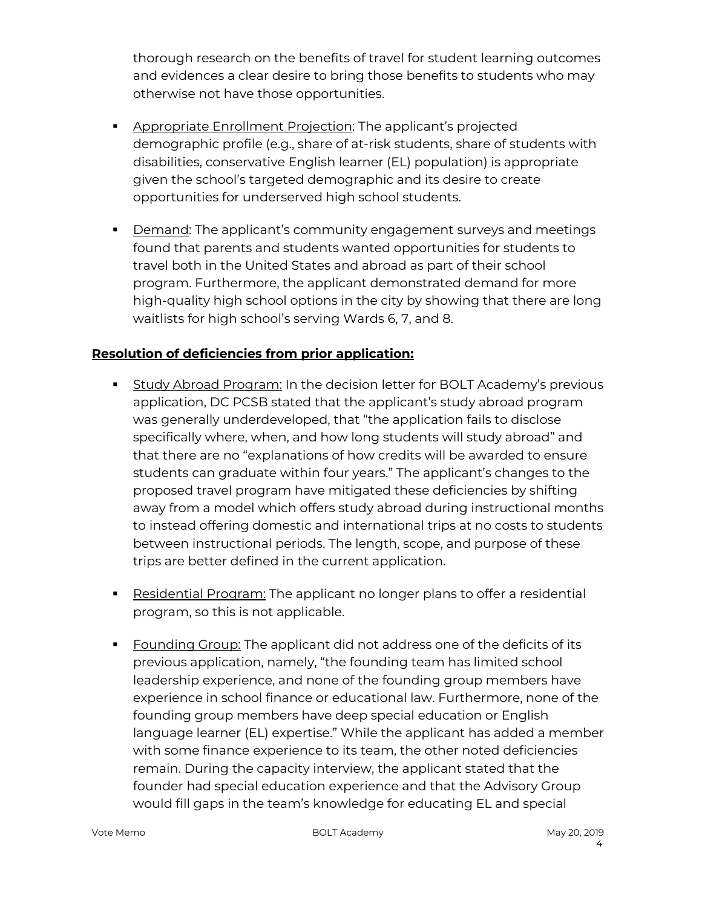thorough research on the benefits of travel for student learning outcomes and evidences a clear desire to bring those benefits to students who may otherwise not have those opportunities.

- **EXPEDENT Appropriate Enrollment Projection: The applicant's projected** demographic profile (e.g., share of at-risk students, share of students with disabilities, conservative English learner (EL) population) is appropriate given the school's targeted demographic and its desire to create opportunities for underserved high school students.
- **•** Demand: The applicant's community engagement surveys and meetings found that parents and students wanted opportunities for students to travel both in the United States and abroad as part of their school program. Furthermore, the applicant demonstrated demand for more high-quality high school options in the city by showing that there are long waitlists for high school's serving Wards 6, 7, and 8.

## **Resolution of deficiencies from prior application:**

- § Study Abroad Program: In the decision letter for BOLT Academy's previous application, DC PCSB stated that the applicant's study abroad program was generally underdeveloped, that "the application fails to disclose specifically where, when, and how long students will study abroad" and that there are no "explanations of how credits will be awarded to ensure students can graduate within four years." The applicant's changes to the proposed travel program have mitigated these deficiencies by shifting away from a model which offers study abroad during instructional months to instead offering domestic and international trips at no costs to students between instructional periods. The length, scope, and purpose of these trips are better defined in the current application.
- **•** Residential Program: The applicant no longer plans to offer a residential program, so this is not applicable.
- § Founding Group: The applicant did not address one of the deficits of its previous application, namely, "the founding team has limited school leadership experience, and none of the founding group members have experience in school finance or educational law. Furthermore, none of the founding group members have deep special education or English language learner (EL) expertise." While the applicant has added a member with some finance experience to its team, the other noted deficiencies remain. During the capacity interview, the applicant stated that the founder had special education experience and that the Advisory Group would fill gaps in the team's knowledge for educating EL and special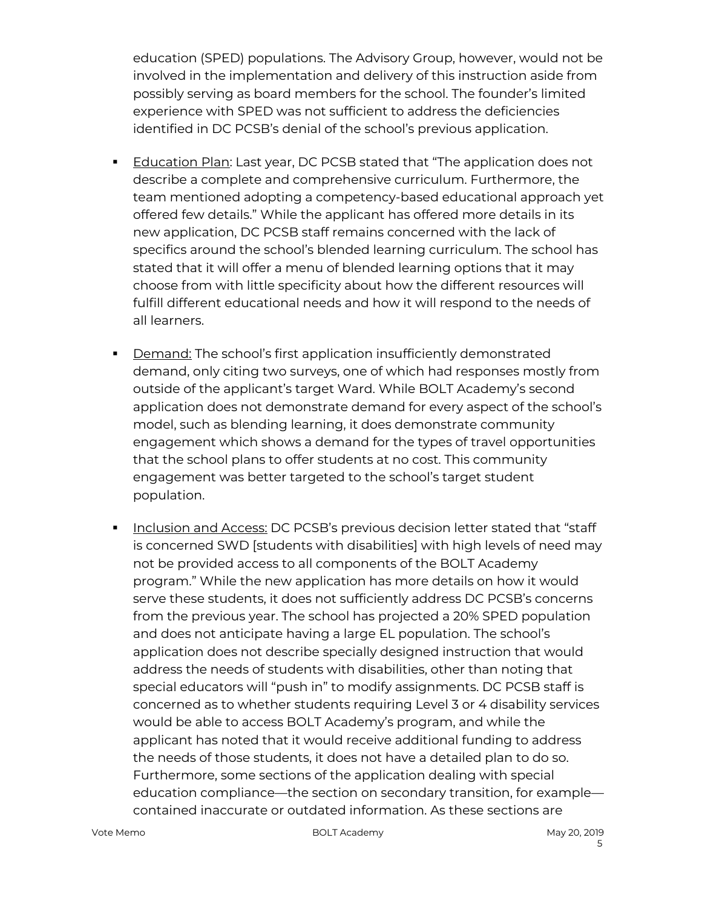education (SPED) populations. The Advisory Group, however, would not be involved in the implementation and delivery of this instruction aside from possibly serving as board members for the school. The founder's limited experience with SPED was not sufficient to address the deficiencies identified in DC PCSB's denial of the school's previous application.

- **Education Plan: Last year, DC PCSB stated that "The application does not** describe a complete and comprehensive curriculum. Furthermore, the team mentioned adopting a competency-based educational approach yet offered few details." While the applicant has offered more details in its new application, DC PCSB staff remains concerned with the lack of specifics around the school's blended learning curriculum. The school has stated that it will offer a menu of blended learning options that it may choose from with little specificity about how the different resources will fulfill different educational needs and how it will respond to the needs of all learners.
- **•** Demand: The school's first application insufficiently demonstrated demand, only citing two surveys, one of which had responses mostly from outside of the applicant's target Ward. While BOLT Academy's second application does not demonstrate demand for every aspect of the school's model, such as blending learning, it does demonstrate community engagement which shows a demand for the types of travel opportunities that the school plans to offer students at no cost. This community engagement was better targeted to the school's target student population.
- **Inclusion and Access: DC PCSB's previous decision letter stated that "staff** is concerned SWD [students with disabilities] with high levels of need may not be provided access to all components of the BOLT Academy program." While the new application has more details on how it would serve these students, it does not sufficiently address DC PCSB's concerns from the previous year. The school has projected a 20% SPED population and does not anticipate having a large EL population. The school's application does not describe specially designed instruction that would address the needs of students with disabilities, other than noting that special educators will "push in" to modify assignments. DC PCSB staff is concerned as to whether students requiring Level 3 or 4 disability services would be able to access BOLT Academy's program, and while the applicant has noted that it would receive additional funding to address the needs of those students, it does not have a detailed plan to do so. Furthermore, some sections of the application dealing with special education compliance—the section on secondary transition, for example contained inaccurate or outdated information. As these sections are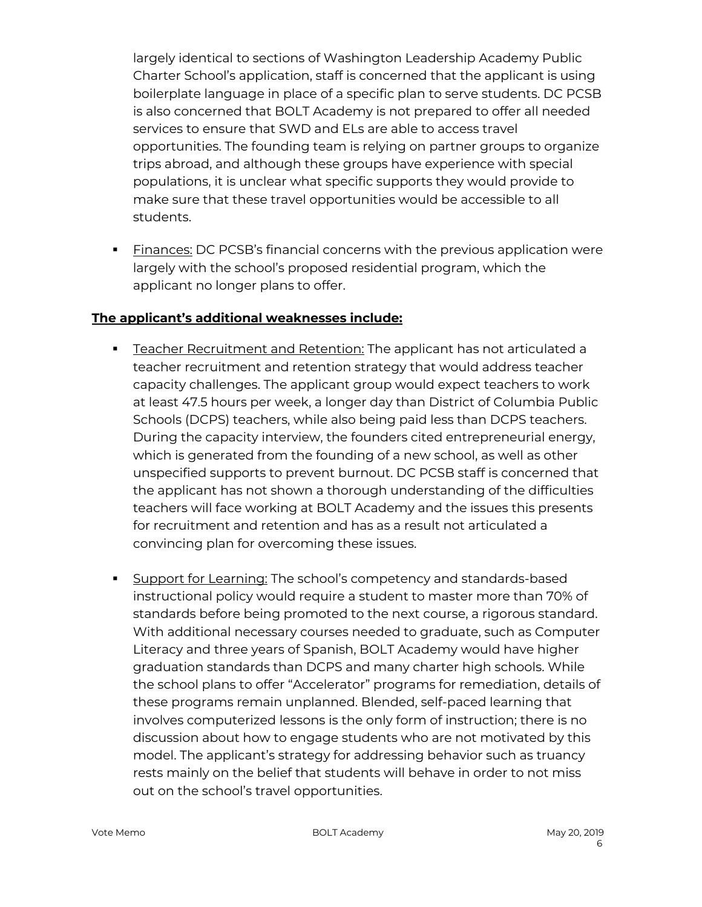largely identical to sections of Washington Leadership Academy Public Charter School's application, staff is concerned that the applicant is using boilerplate language in place of a specific plan to serve students. DC PCSB is also concerned that BOLT Academy is not prepared to offer all needed services to ensure that SWD and ELs are able to access travel opportunities. The founding team is relying on partner groups to organize trips abroad, and although these groups have experience with special populations, it is unclear what specific supports they would provide to make sure that these travel opportunities would be accessible to all students.

**Einances:** DC PCSB's financial concerns with the previous application were largely with the school's proposed residential program, which the applicant no longer plans to offer.

# **The applicant's additional weaknesses include:**

- **E** Teacher Recruitment and Retention: The applicant has not articulated a teacher recruitment and retention strategy that would address teacher capacity challenges. The applicant group would expect teachers to work at least 47.5 hours per week, a longer day than District of Columbia Public Schools (DCPS) teachers, while also being paid less than DCPS teachers. During the capacity interview, the founders cited entrepreneurial energy, which is generated from the founding of a new school, as well as other unspecified supports to prevent burnout. DC PCSB staff is concerned that the applicant has not shown a thorough understanding of the difficulties teachers will face working at BOLT Academy and the issues this presents for recruitment and retention and has as a result not articulated a convincing plan for overcoming these issues.
- **Support for Learning: The school's competency and standards-based** instructional policy would require a student to master more than 70% of standards before being promoted to the next course, a rigorous standard. With additional necessary courses needed to graduate, such as Computer Literacy and three years of Spanish, BOLT Academy would have higher graduation standards than DCPS and many charter high schools. While the school plans to offer "Accelerator" programs for remediation, details of these programs remain unplanned. Blended, self-paced learning that involves computerized lessons is the only form of instruction; there is no discussion about how to engage students who are not motivated by this model. The applicant's strategy for addressing behavior such as truancy rests mainly on the belief that students will behave in order to not miss out on the school's travel opportunities.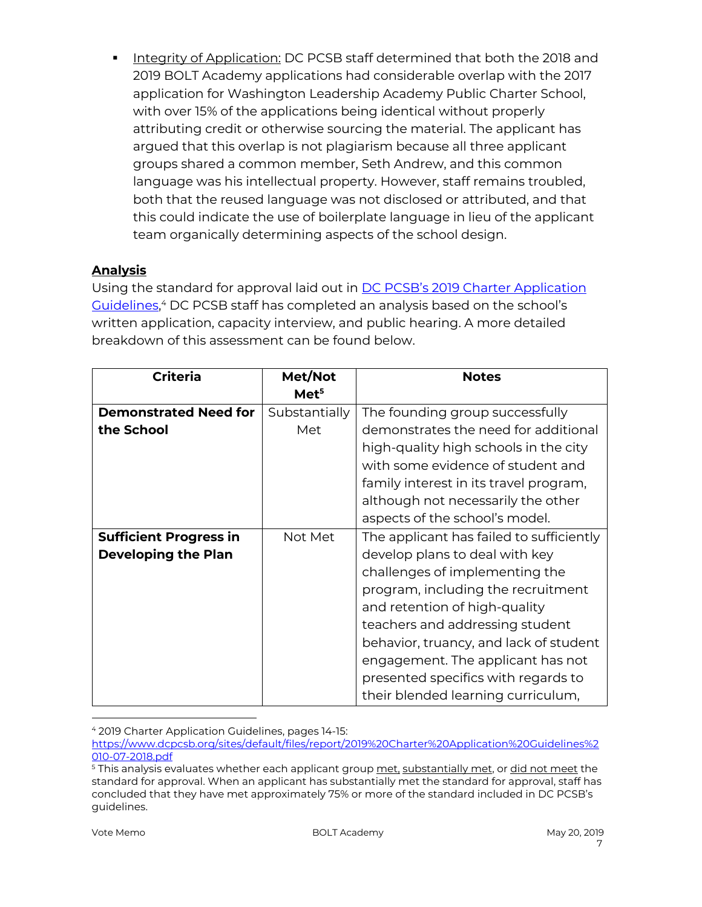§ Integrity of Application: DC PCSB staff determined that both the 2018 and 2019 BOLT Academy applications had considerable overlap with the 2017 application for Washington Leadership Academy Public Charter School, with over 15% of the applications being identical without properly attributing credit or otherwise sourcing the material. The applicant has argued that this overlap is not plagiarism because all three applicant groups shared a common member, Seth Andrew, and this common language was his intellectual property. However, staff remains troubled, both that the reused language was not disclosed or attributed, and that this could indicate the use of boilerplate language in lieu of the applicant team organically determining aspects of the school design.

# **Analysis**

Using the standard for approval laid out in **DC PCSB's 2019 Charter Application** Guidelines,<sup>4</sup> DC PCSB staff has completed an analysis based on the school's written application, capacity interview, and public hearing. A more detailed breakdown of this assessment can be found below.

| <b>Criteria</b>               | Met/Not          | <b>Notes</b>                             |
|-------------------------------|------------------|------------------------------------------|
|                               | Met <sup>5</sup> |                                          |
| <b>Demonstrated Need for</b>  | Substantially    | The founding group successfully          |
| the School                    | Met              | demonstrates the need for additional     |
|                               |                  | high-quality high schools in the city    |
|                               |                  | with some evidence of student and        |
|                               |                  | family interest in its travel program,   |
|                               |                  | although not necessarily the other       |
|                               |                  | aspects of the school's model.           |
| <b>Sufficient Progress in</b> | Not Met          | The applicant has failed to sufficiently |
| <b>Developing the Plan</b>    |                  | develop plans to deal with key           |
|                               |                  | challenges of implementing the           |
|                               |                  | program, including the recruitment       |
|                               |                  | and retention of high-quality            |
|                               |                  | teachers and addressing student          |
|                               |                  | behavior, truancy, and lack of student   |
|                               |                  | engagement. The applicant has not        |
|                               |                  | presented specifics with regards to      |
|                               |                  | their blended learning curriculum,       |

 <sup>4</sup> 2019 Charter Application Guidelines, pages 14-15:

https://www.dcpcsb.org/sites/default/files/report/2019%20Charter%20Application%20Guidelines%2 010-07-2018.pdf

<sup>&</sup>lt;sup>5</sup> This analysis evaluates whether each applicant group met, substantially met, or did not meet the standard for approval. When an applicant has substantially met the standard for approval, staff has concluded that they have met approximately 75% or more of the standard included in DC PCSB's guidelines.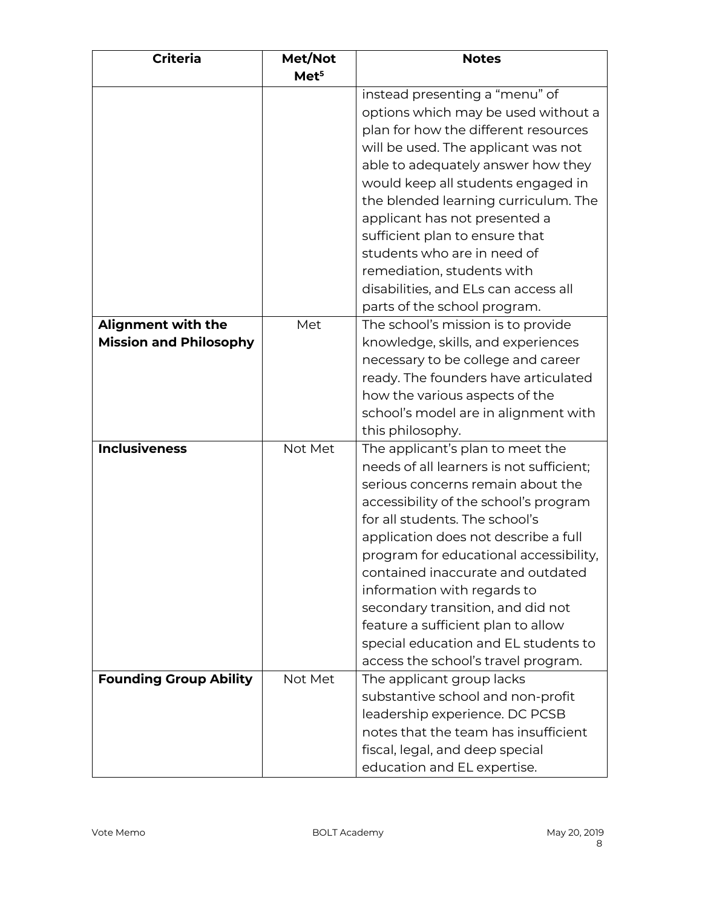| <b>Criteria</b>               | Met/Not          | <b>Notes</b>                             |
|-------------------------------|------------------|------------------------------------------|
|                               | Met <sup>5</sup> |                                          |
|                               |                  | instead presenting a "menu" of           |
|                               |                  | options which may be used without a      |
|                               |                  | plan for how the different resources     |
|                               |                  | will be used. The applicant was not      |
|                               |                  | able to adequately answer how they       |
|                               |                  | would keep all students engaged in       |
|                               |                  | the blended learning curriculum. The     |
|                               |                  | applicant has not presented a            |
|                               |                  | sufficient plan to ensure that           |
|                               |                  | students who are in need of              |
|                               |                  | remediation, students with               |
|                               |                  | disabilities, and ELs can access all     |
|                               |                  | parts of the school program.             |
| <b>Alignment with the</b>     | Met              | The school's mission is to provide       |
| <b>Mission and Philosophy</b> |                  | knowledge, skills, and experiences       |
|                               |                  | necessary to be college and career       |
|                               |                  | ready. The founders have articulated     |
|                               |                  | how the various aspects of the           |
|                               |                  | school's model are in alignment with     |
|                               |                  | this philosophy.                         |
| <b>Inclusiveness</b>          | Not Met          | The applicant's plan to meet the         |
|                               |                  | needs of all learners is not sufficient; |
|                               |                  | serious concerns remain about the        |
|                               |                  | accessibility of the school's program    |
|                               |                  | for all students. The school's           |
|                               |                  | application does not describe a full     |
|                               |                  | program for educational accessibility,   |
|                               |                  | contained inaccurate and outdated        |
|                               |                  | information with regards to              |
|                               |                  | secondary transition, and did not        |
|                               |                  |                                          |
|                               |                  | feature a sufficient plan to allow       |
|                               |                  | special education and EL students to     |
|                               |                  | access the school's travel program.      |
| <b>Founding Group Ability</b> | Not Met          | The applicant group lacks                |
|                               |                  | substantive school and non-profit        |
|                               |                  | leadership experience. DC PCSB           |
|                               |                  | notes that the team has insufficient     |
|                               |                  | fiscal, legal, and deep special          |
|                               |                  | education and EL expertise.              |